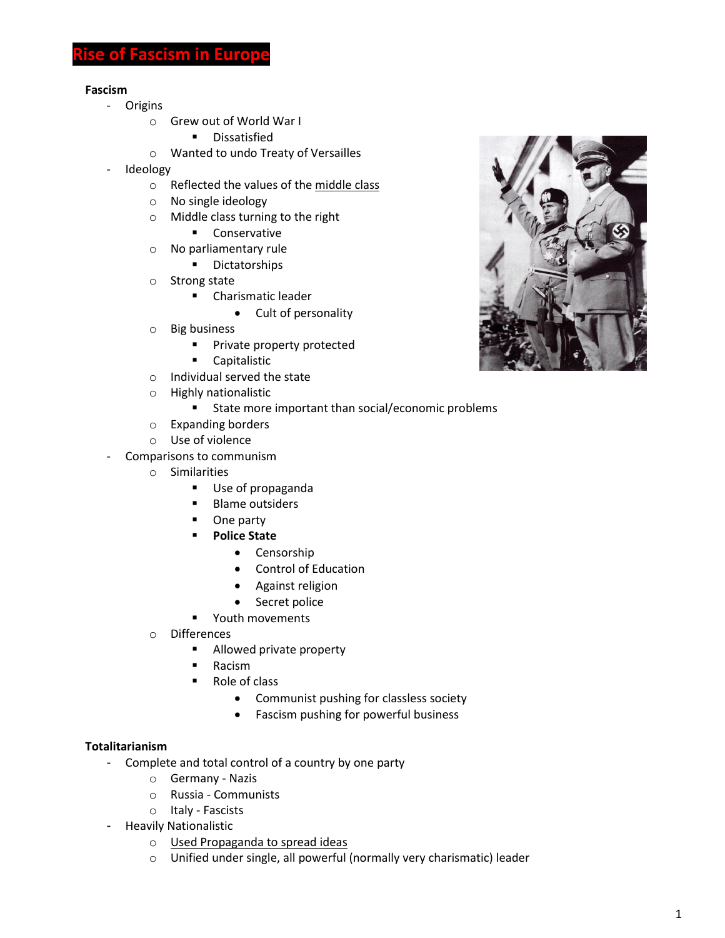# **Fascism in Euro**

#### **Fascism**

- Origins
	- o Grew out of World War I
		- **•** Dissatisfied
	- o Wanted to undo Treaty of Versailles
- Ideology
	- o Reflected the values of the middle class
	- o No single ideology
	- o Middle class turning to the right
		- **Conservative**
	- o No parliamentary rule
		- **-** Dictatorships
	- o Strong state
		- **E** Charismatic leader
			- Cult of personality
	- o Big business
		- **Private property protected**
		- **Capitalistic**
	- o Individual served the state
	- o Highly nationalistic
		- State more important than social/economic problems
	- o Expanding borders
	- o Use of violence
- Comparisons to communism
	- o Similarities
		- **Use of propaganda**
		- **Blame outsiders**
		- One party
		- **Police State**
			- Censorship
			- Control of Education
			- Against religion
			- Secret police
		- **•** Youth movements
	- o Differences
		- **Allowed private property**
		- **Racism**
		- Role of class
			- Communist pushing for classless society
			- Fascism pushing for powerful business

#### **Totalitarianism**

- Complete and total control of a country by one party
	- o Germany Nazis
	- o Russia Communists
	- o Italy Fascists
- Heavily Nationalistic
	- o Used Propaganda to spread ideas
	- o Unified under single, all powerful (normally very charismatic) leader

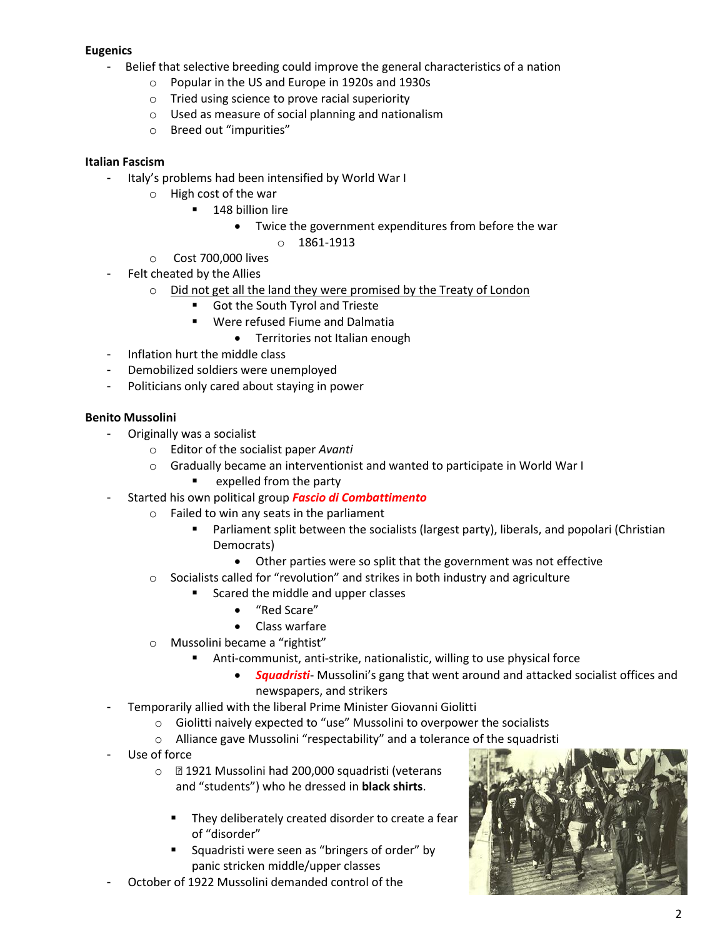## **Eugenics**

- Belief that selective breeding could improve the general characteristics of a nation
	- o Popular in the US and Europe in 1920s and 1930s
	- o Tried using science to prove racial superiority
	- o Used as measure of social planning and nationalism
	- o Breed out "impurities"

### **Italian Fascism**

- Italy's problems had been intensified by World War I
	- o High cost of the war
		- **148 billion lire** 
			- Twice the government expenditures from before the war
				- o 1861-1913
	- o Cost 700,000 lives
- Felt cheated by the Allies
	- o Did not get all the land they were promised by the Treaty of London
		- Got the South Tyrol and Trieste
		- Were refused Fiume and Dalmatia
			- **•** Territories not Italian enough
- Inflation hurt the middle class
- Demobilized soldiers were unemployed
- Politicians only cared about staying in power

### **Benito Mussolini**

- Originally was a socialist
	- o Editor of the socialist paper *Avanti*
	- o Gradually became an interventionist and wanted to participate in World War I
		- $\blacksquare$  expelled from the party
- Started his own political group *Fascio di Combattimento*
	- o Failed to win any seats in the parliament
		- Parliament split between the socialists (largest party), liberals, and popolari (Christian Democrats)
			- Other parties were so split that the government was not effective
	- $\circ$  Socialists called for "revolution" and strikes in both industry and agriculture
		- Scared the middle and upper classes
			- "Red Scare"
			- Class warfare
	- o Mussolini became a "rightist"
		- Anti-communist, anti-strike, nationalistic, willing to use physical force
			- *Squadristi* Mussolini's gang that went around and attacked socialist offices and newspapers, and strikers
- Temporarily allied with the liberal Prime Minister Giovanni Giolitti
	- o Giolitti naively expected to "use" Mussolini to overpower the socialists
	- o Alliance gave Mussolini "respectability" and a tolerance of the squadristi
- Use of force
	- o 1921 Mussolini had 200,000 squadristi (veterans and "students") who he dressed in **black shirts**.
		- They deliberately created disorder to create a fear of "disorder"
		- Squadristi were seen as "bringers of order" by panic stricken middle/upper classes
- October of 1922 Mussolini demanded control of the

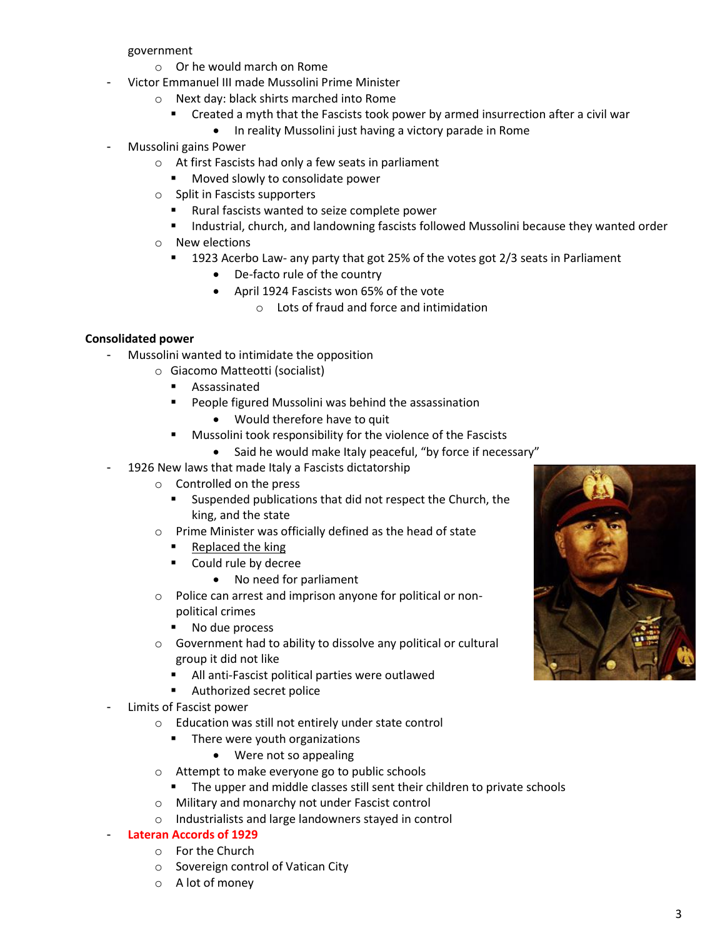government

- o Or he would march on Rome
- Victor Emmanuel III made Mussolini Prime Minister
	- o Next day: black shirts marched into Rome
		- **EXP** Created a myth that the Fascists took power by armed insurrection after a civil war
			- In reality Mussolini just having a victory parade in Rome
- Mussolini gains Power
	- o At first Fascists had only a few seats in parliament
		- **Moved slowly to consolidate power**
	- o Split in Fascists supporters
		- Rural fascists wanted to seize complete power
		- **Industrial, church, and landowning fascists followed Mussolini because they wanted order**
	- o New elections
		- 1923 Acerbo Law- any party that got 25% of the votes got 2/3 seats in Parliament
			- De-facto rule of the country
			- April 1924 Fascists won 65% of the vote
				- o Lots of fraud and force and intimidation

### **Consolidated power**

- Mussolini wanted to intimidate the opposition
	- o Giacomo Matteotti (socialist)
		- **Assassinated**
		- People figured Mussolini was behind the assassination
			- Would therefore have to quit
		- Mussolini took responsibility for the violence of the Fascists
			- Said he would make Italy peaceful, "by force if necessary"
- 1926 New laws that made Italy a Fascists dictatorship
	- o Controlled on the press
		- Suspended publications that did not respect the Church, the king, and the state
	- o Prime Minister was officially defined as the head of state
		- **Replaced the king**
		- **Could rule by decree** 
			- No need for parliament
	- o Police can arrest and imprison anyone for political or nonpolitical crimes
		- No due process
	- o Government had to ability to dissolve any political or cultural group it did not like
		- All anti-Fascist political parties were outlawed
		- Authorized secret police
- Limits of Fascist power
	- o Education was still not entirely under state control
		- **There were youth organizations** 
			- Were not so appealing
	- o Attempt to make everyone go to public schools
		- **The upper and middle classes still sent their children to private schools**
	- o Military and monarchy not under Fascist control
	- o Industrialists and large landowners stayed in control

#### - **Lateran Accords of 1929**

- o For the Church
- o Sovereign control of Vatican City
- o A lot of money

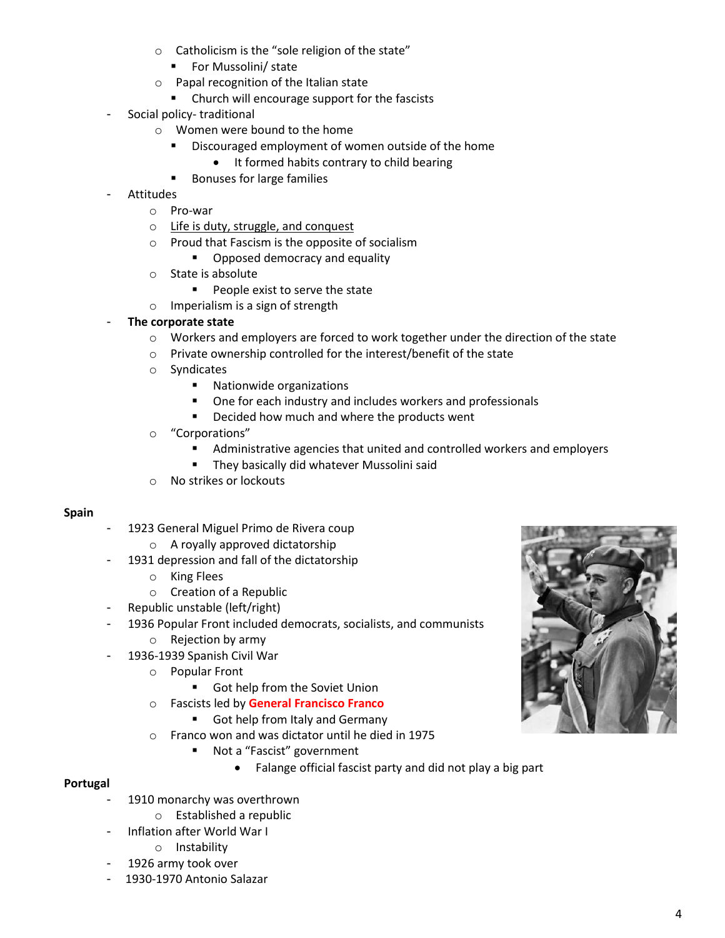- o Catholicism is the "sole religion of the state"
	- For Mussolini/ state
- o Papal recognition of the Italian state
	- Church will encourage support for the fascists
- Social policy- traditional
	- o Women were bound to the home
		- **Discouraged employment of women outside of the home** 
			- It formed habits contrary to child bearing
		- **Bonuses for large families**
- **Attitudes** 
	- o Pro-war
		- o Life is duty, struggle, and conquest
	- o Proud that Fascism is the opposite of socialism
		- **•** Opposed democracy and equality
	- o State is absolute
		- **People exist to serve the state**
	- o Imperialism is a sign of strength
- **The corporate state**
	- $\circ$  Workers and employers are forced to work together under the direction of the state
	- o Private ownership controlled for the interest/benefit of the state
	- o Syndicates
		- Nationwide organizations
		- One for each industry and includes workers and professionals
		- Decided how much and where the products went
	- o "Corporations"
		- Administrative agencies that united and controlled workers and employers
		- **They basically did whatever Mussolini said**
	- o No strikes or lockouts

### **Spain**

- 1923 General Miguel Primo de Rivera coup
	- o A royally approved dictatorship
- 1931 depression and fall of the dictatorship
	- o King Flees
	- o Creation of a Republic
- Republic unstable (left/right)
- 1936 Popular Front included democrats, socialists, and communists
	- o Rejection by army
- 1936-1939 Spanish Civil War
	- o Popular Front
		- Got help from the Soviet Union
	- o Fascists led by **General Francisco Franco**
		- Got help from Italy and Germany
	- o Franco won and was dictator until he died in 1975
		- Not a "Fascist" government
			- Falange official fascist party and did not play a big part

### **Portugal**

- 1910 monarchy was overthrown
	- o Established a republic
- Inflation after World War I
	- o Instability
- 1926 army took over
- 1930-1970 Antonio Salazar

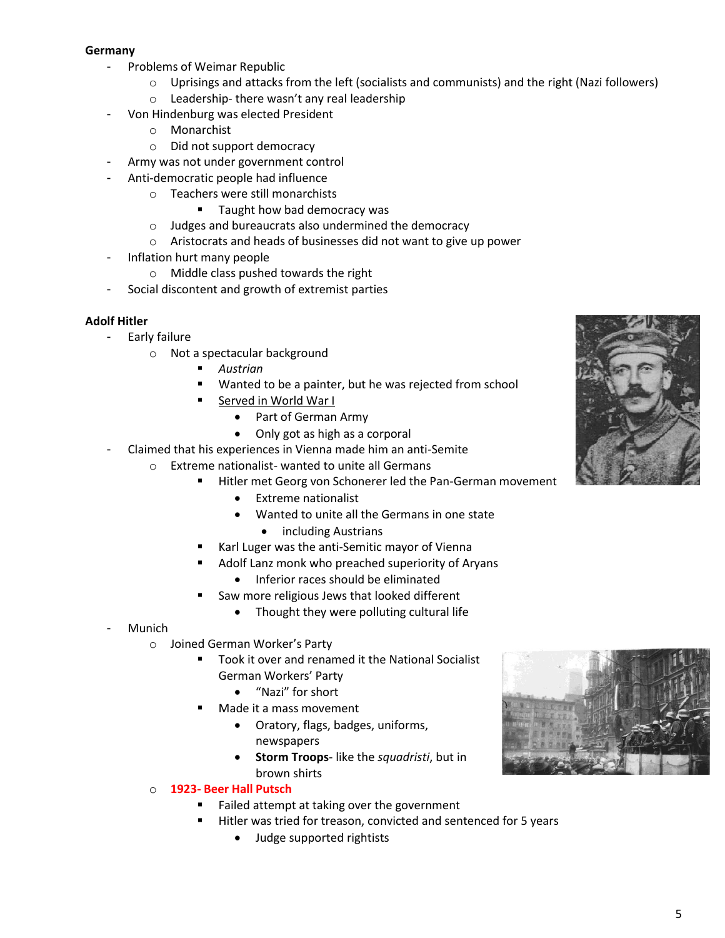### **Germany**

- Problems of Weimar Republic
	- o Uprisings and attacks from the left (socialists and communists) and the right (Nazi followers)
	- o Leadership- there wasn't any real leadership
	- Von Hindenburg was elected President
		- o Monarchist
		- o Did not support democracy
- Army was not under government control
- Anti-democratic people had influence
	- o Teachers were still monarchists
		- Taught how bad democracy was
	- o Judges and bureaucrats also undermined the democracy
	- o Aristocrats and heads of businesses did not want to give up power
- Inflation hurt many people
	- o Middle class pushed towards the right
- Social discontent and growth of extremist parties

### **Adolf Hitler**

- Early failure
	- o Not a spectacular background
		- *Austrian*
		- Wanted to be a painter, but he was rejected from school
		- **Served in World War I** 
			- Part of German Army
			- Only got as high as a corporal
- Claimed that his experiences in Vienna made him an anti-Semite
	- o Extreme nationalist- wanted to unite all Germans
		- Hitler met Georg von Schonerer led the Pan-German movement
			- Extreme nationalist
			- Wanted to unite all the Germans in one state
				- including Austrians
			- Karl Luger was the anti-Semitic mayor of Vienna
				- Adolf Lanz monk who preached superiority of Aryans
					- Inferior races should be eliminated
			- Saw more religious Jews that looked different
				- Thought they were polluting cultural life
- **Munich** 
	- o Joined German Worker's Party
		- Took it over and renamed it the National Socialist German Workers' Party
			- "Nazi" for short
		- Made it a mass movement
			- Oratory, flags, badges, uniforms, newspapers
			- **Storm Troops** like the *squadristi*, but in brown shirts

## o **1923- Beer Hall Putsch**

- Failed attempt at taking over the government
- Hitler was tried for treason, convicted and sentenced for 5 years
	- Judge supported rightists



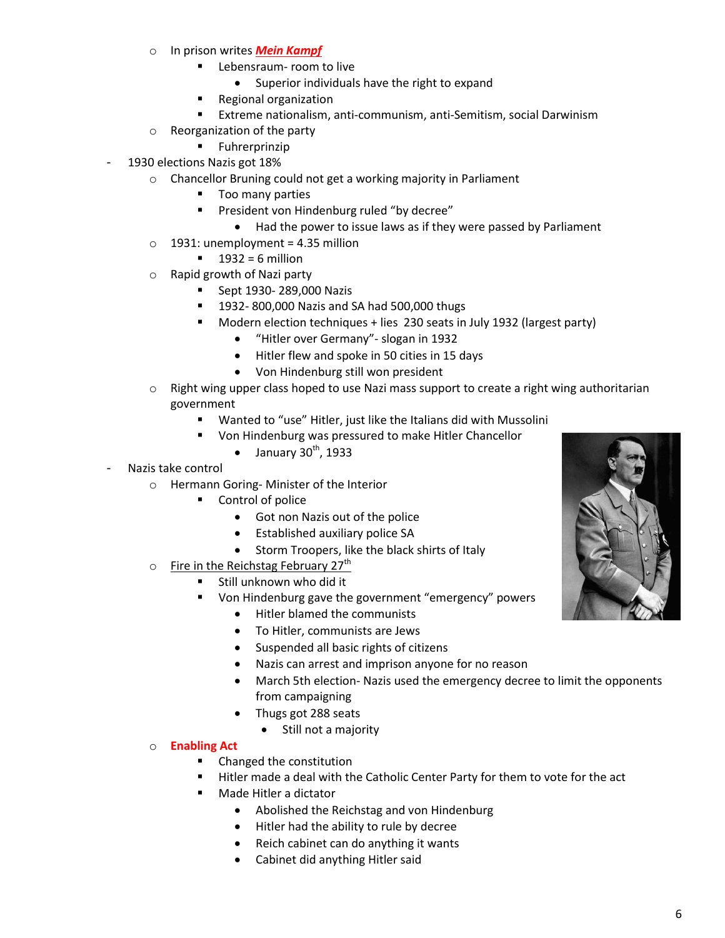- o In prison writes *Mein Kampf*
	- **Lebensraum- room to live** 
		- Superior individuals have the right to expand
	- **Regional organization**
	- Extreme nationalism, anti-communism, anti-Semitism, social Darwinism
- o Reorganization of the party
	- **Fuhrerprinzip**
- 1930 elections Nazis got 18%
	- o Chancellor Bruning could not get a working majority in Parliament
		- **Too many parties**
		- **President von Hindenburg ruled "by decree"** 
			- Had the power to issue laws as if they were passed by Parliament
	- $\circ$  1931: unemployment = 4.35 million
		- $1932 = 6$  million
	- o Rapid growth of Nazi party
		- **Sept 1930-289,000 Nazis**
		- **1932- 800,000 Nazis and SA had 500,000 thugs**
		- Modern election techniques + lies 230 seats in July 1932 (largest party)
			- "Hitler over Germany"- slogan in 1932
			- Hitler flew and spoke in 50 cities in 15 days
			- Von Hindenburg still won president
	- $\circ$  Right wing upper class hoped to use Nazi mass support to create a right wing authoritarian government
		- Wanted to "use" Hitler, just like the Italians did with Mussolini
		- Von Hindenburg was pressured to make Hitler Chancellor
			- $\bullet$  January 30<sup>th</sup>, 1933
- Nazis take control
	- o Hermann Goring- Minister of the Interior
		- **•** Control of police
			- Got non Nazis out of the police
			- Established auxiliary police SA
			- Storm Troopers, like the black shirts of Italy
	- o Fire in the Reichstag February 27<sup>th</sup>
		- **Still unknown who did it** 
			- Von Hindenburg gave the government "emergency" powers
				- Hitler blamed the communists
				- To Hitler, communists are Jews
				- Suspended all basic rights of citizens
				- Nazis can arrest and imprison anyone for no reason
				- March 5th election- Nazis used the emergency decree to limit the opponents from campaigning
				- Thugs got 288 seats
					- Still not a majority

## o **Enabling Act**

- Changed the constitution
- Hitler made a deal with the Catholic Center Party for them to vote for the act
- Made Hitler a dictator
	- Abolished the Reichstag and von Hindenburg
	- Hitler had the ability to rule by decree
	- Reich cabinet can do anything it wants
	- Cabinet did anything Hitler said

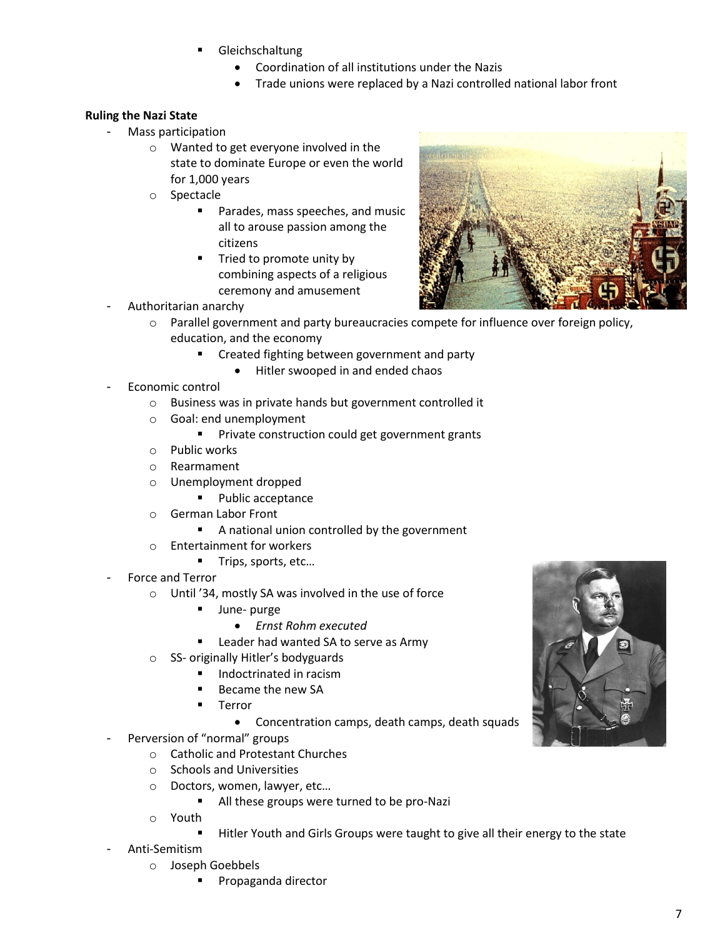- Gleichschaltung
	- Coordination of all institutions under the Nazis
	- Trade unions were replaced by a Nazi controlled national labor front

## **Ruling the Nazi State**

- Mass participation
	- o Wanted to get everyone involved in the state to dominate Europe or even the world for 1,000 years
	- o Spectacle
		- Parades, mass speeches, and music all to arouse passion among the citizens
		- **Tried to promote unity by** combining aspects of a religious ceremony and amusement
- Authoritarian anarchy
	- o Parallel government and party bureaucracies compete for influence over foreign policy, education, and the economy
		- **EXTE:** Created fighting between government and party
			- Hitler swooped in and ended chaos
- Economic control
	- o Business was in private hands but government controlled it
	- o Goal: end unemployment
		- **Private construction could get government grants**
	- o Public works
	- o Rearmament
	- o Unemployment dropped
		- Public acceptance
	- o German Labor Front
		- A national union controlled by the government
	- o Entertainment for workers
		- Trips, sports, etc...
- Force and Terror
	- o Until '34, mostly SA was involved in the use of force
		- **June-purge** 
			- *Ernst Rohm executed*
		- **Leader had wanted SA to serve as Army**
	- o SS- originally Hitler's bodyguards
		- Indoctrinated in racism
		- Became the new SA
		- Terror
			- Concentration camps, death camps, death squads
- Perversion of "normal" groups
	- o Catholic and Protestant Churches
	- o Schools and Universities
	- o Doctors, women, lawyer, etc…
		- All these groups were turned to be pro-Nazi
	- o Youth
		- Hitler Youth and Girls Groups were taught to give all their energy to the state
- Anti-Semitism
	- o Joseph Goebbels
		- Propaganda director